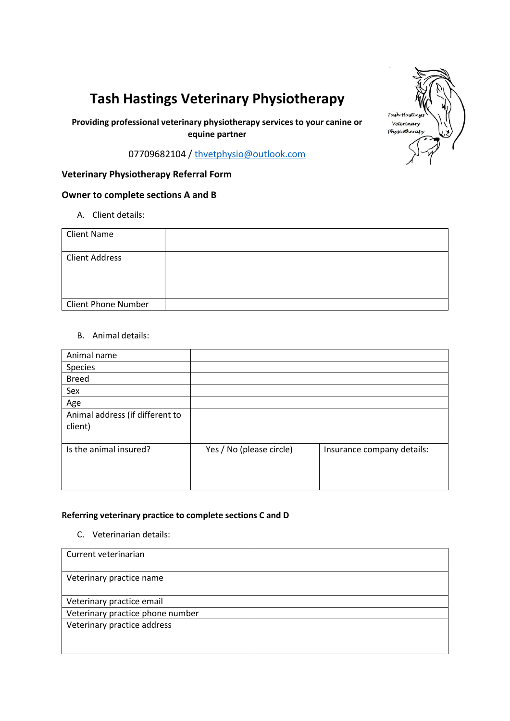# **Tash Hastings Veterinary Physiotherapy**

**Providing professional veterinary physiotherapy services to your canine or equine partner**

07709682104 / [thvetphysio@outlook.com](mailto:thvetphysio@outlook.com)

# **Veterinary Physiotherapy Referral Form**

## **Owner to complete sections A and B**

A. Client details:

| <b>Client Name</b>         |  |
|----------------------------|--|
| <b>Client Address</b>      |  |
| <b>Client Phone Number</b> |  |

## B. Animal details:

| Animal name                                |                          |                            |
|--------------------------------------------|--------------------------|----------------------------|
| Species                                    |                          |                            |
| <b>Breed</b>                               |                          |                            |
| Sex                                        |                          |                            |
| Age                                        |                          |                            |
| Animal address (if different to<br>client) |                          |                            |
| Is the animal insured?                     | Yes / No (please circle) | Insurance company details: |

#### **Referring veterinary practice to complete sections C and D**

C. Veterinarian details:

| Current veterinarian             |  |
|----------------------------------|--|
| Veterinary practice name         |  |
| Veterinary practice email        |  |
| Veterinary practice phone number |  |
| Veterinary practice address      |  |

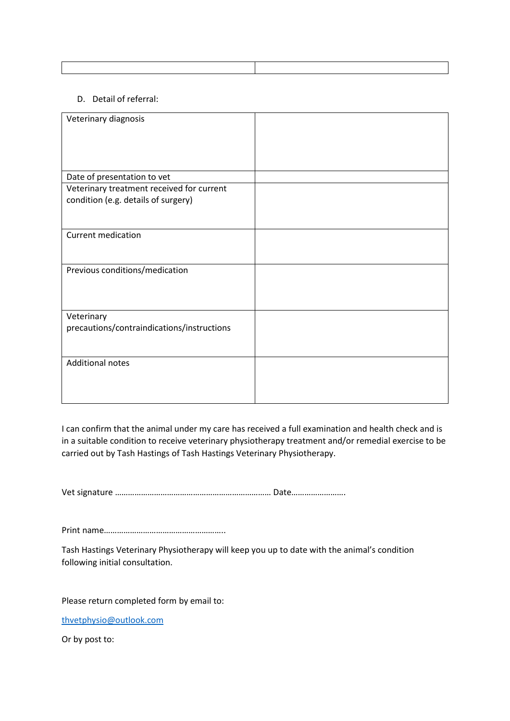#### D. Detail of referral:

| Veterinary diagnosis                       |  |
|--------------------------------------------|--|
|                                            |  |
|                                            |  |
| Date of presentation to vet                |  |
| Veterinary treatment received for current  |  |
| condition (e.g. details of surgery)        |  |
|                                            |  |
| <b>Current medication</b>                  |  |
|                                            |  |
| Previous conditions/medication             |  |
|                                            |  |
|                                            |  |
| Veterinary                                 |  |
| precautions/contraindications/instructions |  |
|                                            |  |
| <b>Additional notes</b>                    |  |
|                                            |  |
|                                            |  |

I can confirm that the animal under my care has received a full examination and health check and is in a suitable condition to receive veterinary physiotherapy treatment and/or remedial exercise to be carried out by Tash Hastings of Tash Hastings Veterinary Physiotherapy.

Vet signature ……………………………………………………………… Date…………………….

Print name………………………………………………..

Tash Hastings Veterinary Physiotherapy will keep you up to date with the animal's condition following initial consultation.

Please return completed form by email to:

[thvetphysio@outlook.com](mailto:thvetphysio@outlook.com)

Or by post to: